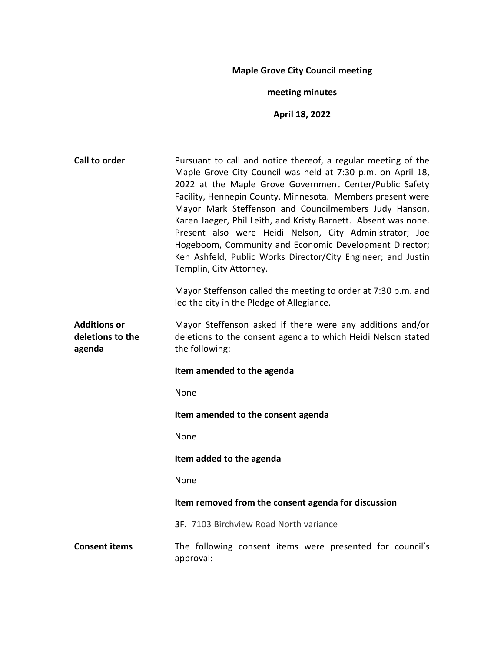# **Maple Grove City Council meeting**

# **meeting minutes**

# **April 18, 2022**

| Call to order                                     | Pursuant to call and notice thereof, a regular meeting of the<br>Maple Grove City Council was held at 7:30 p.m. on April 18,<br>2022 at the Maple Grove Government Center/Public Safety<br>Facility, Hennepin County, Minnesota. Members present were<br>Mayor Mark Steffenson and Councilmembers Judy Hanson,<br>Karen Jaeger, Phil Leith, and Kristy Barnett. Absent was none.<br>Present also were Heidi Nelson, City Administrator; Joe<br>Hogeboom, Community and Economic Development Director;<br>Ken Ashfeld, Public Works Director/City Engineer; and Justin<br>Templin, City Attorney. |
|---------------------------------------------------|--------------------------------------------------------------------------------------------------------------------------------------------------------------------------------------------------------------------------------------------------------------------------------------------------------------------------------------------------------------------------------------------------------------------------------------------------------------------------------------------------------------------------------------------------------------------------------------------------|
|                                                   | Mayor Steffenson called the meeting to order at 7:30 p.m. and<br>led the city in the Pledge of Allegiance.                                                                                                                                                                                                                                                                                                                                                                                                                                                                                       |
| <b>Additions or</b><br>deletions to the<br>agenda | Mayor Steffenson asked if there were any additions and/or<br>deletions to the consent agenda to which Heidi Nelson stated<br>the following:                                                                                                                                                                                                                                                                                                                                                                                                                                                      |
|                                                   |                                                                                                                                                                                                                                                                                                                                                                                                                                                                                                                                                                                                  |
|                                                   | Item amended to the agenda                                                                                                                                                                                                                                                                                                                                                                                                                                                                                                                                                                       |
|                                                   | None                                                                                                                                                                                                                                                                                                                                                                                                                                                                                                                                                                                             |
|                                                   | Item amended to the consent agenda                                                                                                                                                                                                                                                                                                                                                                                                                                                                                                                                                               |
|                                                   | None                                                                                                                                                                                                                                                                                                                                                                                                                                                                                                                                                                                             |
|                                                   | Item added to the agenda                                                                                                                                                                                                                                                                                                                                                                                                                                                                                                                                                                         |
|                                                   | None                                                                                                                                                                                                                                                                                                                                                                                                                                                                                                                                                                                             |
|                                                   | Item removed from the consent agenda for discussion                                                                                                                                                                                                                                                                                                                                                                                                                                                                                                                                              |
|                                                   | 3F. 7103 Birchview Road North variance                                                                                                                                                                                                                                                                                                                                                                                                                                                                                                                                                           |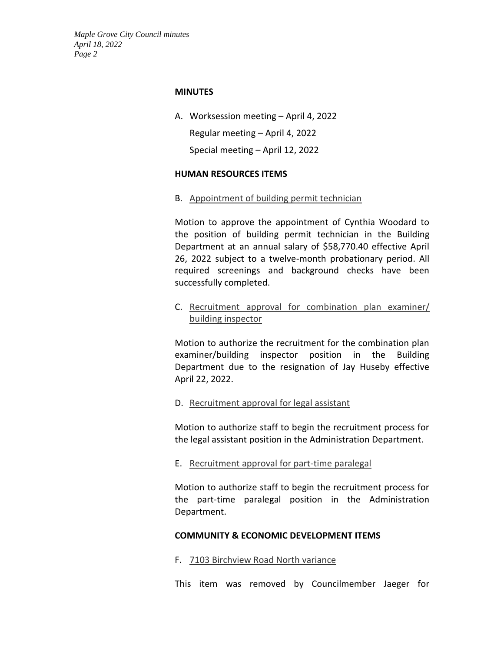#### **MINUTES**

A. Worksession meeting – April 4, 2022

Regular meeting – April 4, 2022

Special meeting – April 12, 2022

### **HUMAN RESOURCES ITEMS**

B. Appointment of building permit technician

Motion to approve the appointment of Cynthia Woodard to the position of building permit technician in the Building Department at an annual salary of \$58,770.40 effective April 26, 2022 subject to a twelve-month probationary period. All required screenings and background checks have been successfully completed.

C. Recruitment approval for combination plan examiner/ building inspector

Motion to authorize the recruitment for the combination plan examiner/building inspector position in the Building Department due to the resignation of Jay Huseby effective April 22, 2022.

## D. Recruitment approval for legal assistant

Motion to authorize staff to begin the recruitment process for the legal assistant position in the Administration Department.

E. Recruitment approval for part-time paralegal

Motion to authorize staff to begin the recruitment process for the part-time paralegal position in the Administration Department.

## **COMMUNITY & ECONOMIC DEVELOPMENT ITEMS**

F. 7103 Birchview Road North variance

This item was removed by Councilmember Jaeger for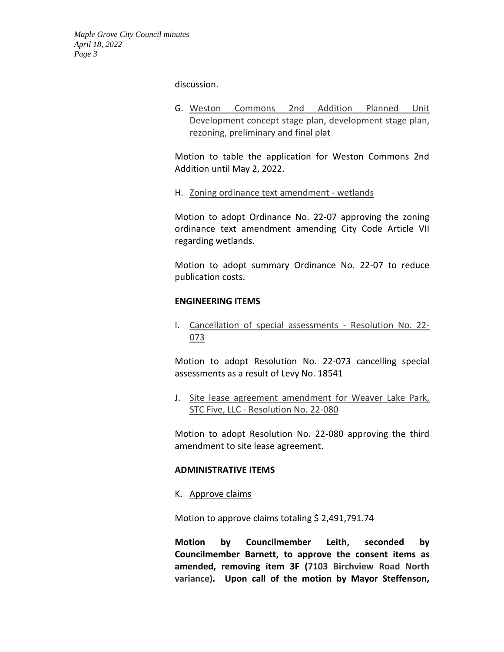discussion.

G. Weston Commons 2nd Addition Planned Unit Development concept stage plan, development stage plan, rezoning, preliminary and final plat

Motion to table the application for Weston Commons 2nd Addition until May 2, 2022.

H. Zoning ordinance text amendment - wetlands

Motion to adopt Ordinance No. 22-07 approving the zoning ordinance text amendment amending City Code Article VII regarding wetlands.

Motion to adopt summary Ordinance No. 22-07 to reduce publication costs.

### **ENGINEERING ITEMS**

I. Cancellation of special assessments - Resolution No. 22- 073

Motion to adopt Resolution No. 22-073 cancelling special assessments as a result of Levy No. 18541

J. Site lease agreement amendment for Weaver Lake Park, STC Five, LLC - Resolution No. 22-080

Motion to adopt Resolution No. 22-080 approving the third amendment to site lease agreement.

#### **ADMINISTRATIVE ITEMS**

K. Approve claims

Motion to approve claims totaling \$ 2,491,791.74

**Motion by Councilmember Leith, seconded by Councilmember Barnett, to approve the consent items as amended, removing item 3F (7103 Birchview Road North variance). Upon call of the motion by Mayor Steffenson,**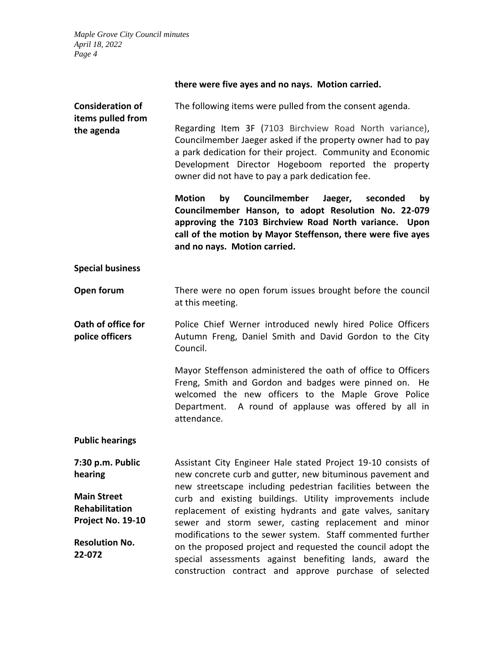| there were five ayes and no nays. Motion carried. |  |  |  |  |
|---------------------------------------------------|--|--|--|--|
|---------------------------------------------------|--|--|--|--|

|                                 | Councilmember Jaeger, seconded<br>by<br><b>Motion</b><br>bv<br>Councilmember Hanson, to adopt Resolution No. 22-079<br>approving the 7103 Birchview Road North variance. Upon                                                                                                                    |
|---------------------------------|--------------------------------------------------------------------------------------------------------------------------------------------------------------------------------------------------------------------------------------------------------------------------------------------------|
| items pulled from<br>the agenda | Regarding Item 3F (7103 Birchview Road North variance),<br>Councilmember Jaeger asked if the property owner had to pay<br>a park dedication for their project. Community and Economic<br>Development Director Hogeboom reported the property<br>owner did not have to pay a park dedication fee. |
| <b>Consideration of</b>         | The following items were pulled from the consent agenda.                                                                                                                                                                                                                                         |

**call of the motion by Mayor Steffenson, there were five ayes and no nays. Motion carried.**

#### **Special business**

- **Open forum** There were no open forum issues brought before the council at this meeting.
- **Oath of office for police officers** Police Chief Werner introduced newly hired Police Officers Autumn Freng, Daniel Smith and David Gordon to the City Council.

Mayor Steffenson administered the oath of office to Officers Freng, Smith and Gordon and badges were pinned on. He welcomed the new officers to the Maple Grove Police Department. A round of applause was offered by all in attendance.

**Public hearings**

**7:30 p.m. Public hearing Main Street Rehabilitation Project No. 19-10 Resolution No. 22-072** Assistant City Engineer Hale stated Project 19-10 consists of new concrete curb and gutter, new bituminous pavement and new streetscape including pedestrian facilities between the curb and existing buildings. Utility improvements include replacement of existing hydrants and gate valves, sanitary sewer and storm sewer, casting replacement and minor modifications to the sewer system. Staff commented further on the proposed project and requested the council adopt the special assessments against benefiting lands, award the construction contract and approve purchase of selected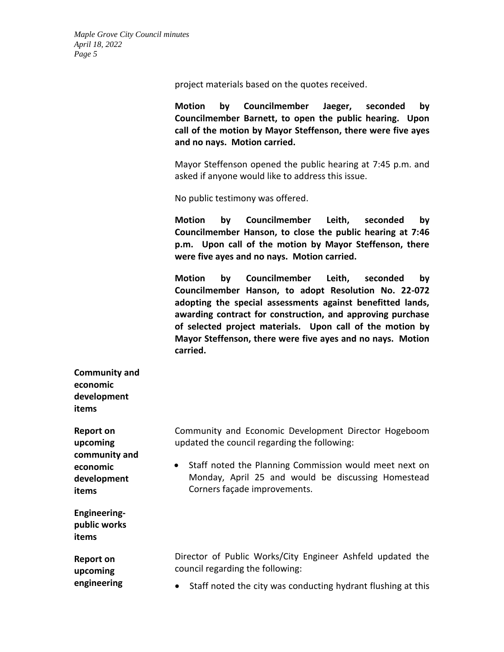project materials based on the quotes received.

**Motion by Councilmember Jaeger, seconded by Councilmember Barnett, to open the public hearing. Upon call of the motion by Mayor Steffenson, there were five ayes and no nays. Motion carried.**

Mayor Steffenson opened the public hearing at 7:45 p.m. and asked if anyone would like to address this issue.

No public testimony was offered.

**Motion by Councilmember Leith, seconded by Councilmember Hanson, to close the public hearing at 7:46 p.m. Upon call of the motion by Mayor Steffenson, there were five ayes and no nays. Motion carried.**

**Motion by Councilmember Leith, seconded by Councilmember Hanson, to adopt Resolution No. 22-072 adopting the special assessments against benefitted lands, awarding contract for construction, and approving purchase of selected project materials. Upon call of the motion by Mayor Steffenson, there were five ayes and no nays. Motion carried.**

**Community and economic development items**

**Report on upcoming community and economic development items**

**Engineeringpublic works items**

**Report on upcoming engineering**  Community and Economic Development Director Hogeboom updated the council regarding the following:

• Staff noted the Planning Commission would meet next on Monday, April 25 and would be discussing Homestead Corners façade improvements.

Director of Public Works/City Engineer Ashfeld updated the council regarding the following:

• Staff noted the city was conducting hydrant flushing at this